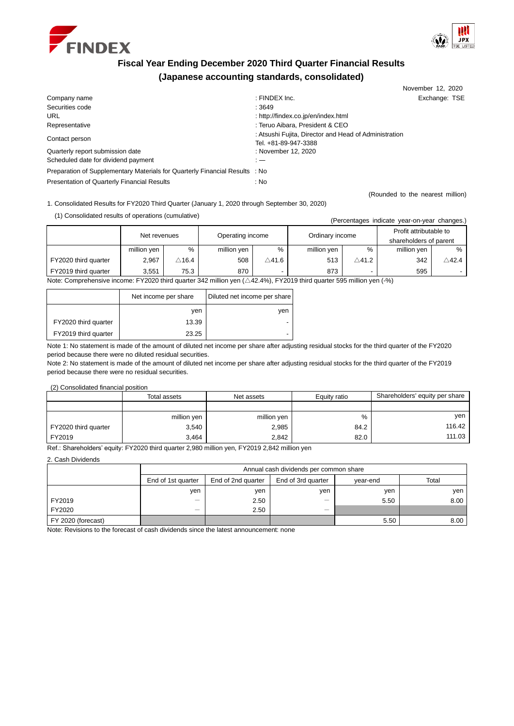



November 12, 2020

# **Fiscal Year Ending December 2020 Third Quarter Financial Results (Japanese accounting standards, consolidated)**

| Company name                                                                | : FINDEX $Inc$ .                                                              | Exchange: TSE                    |
|-----------------------------------------------------------------------------|-------------------------------------------------------------------------------|----------------------------------|
| Securities code                                                             | :3649                                                                         |                                  |
| <b>URL</b>                                                                  | : http://findex.co.jp/en/index.html                                           |                                  |
| Representative                                                              | : Teruo Aibara, President & CEO                                               |                                  |
| Contact person                                                              | : Atsushi Fujita, Director and Head of Administration<br>Tel. +81-89-947-3388 |                                  |
| Quarterly report submission date                                            | : November 12, 2020                                                           |                                  |
| Scheduled date for dividend payment                                         | : —                                                                           |                                  |
| Preparation of Supplementary Materials for Quarterly Financial Results : No |                                                                               |                                  |
| <b>Presentation of Quarterly Financial Results</b>                          | : No                                                                          |                                  |
|                                                                             |                                                                               | (Rounded to the nearest million) |

1. Consolidated Results for FY2020 Third Quarter (January 1, 2020 through September 30, 2020)

(1) Consolidated results of operations (cumulative) (Percentages indicate year-on-year changes.)

| relcentayes indicate year-orryear changes.                                                                                                                                                                                                                                                                                            |              |                  |                  |       |                 |                  |                                                  |               |  |
|---------------------------------------------------------------------------------------------------------------------------------------------------------------------------------------------------------------------------------------------------------------------------------------------------------------------------------------|--------------|------------------|------------------|-------|-----------------|------------------|--------------------------------------------------|---------------|--|
|                                                                                                                                                                                                                                                                                                                                       | Net revenues |                  | Operating income |       | Ordinary income |                  | Profit attributable to<br>shareholders of parent |               |  |
|                                                                                                                                                                                                                                                                                                                                       | million yen  | %                | million yen      | %     | million yen     | $\%$             | million yen                                      | %             |  |
| FY2020 third quarter                                                                                                                                                                                                                                                                                                                  | 2,967        | $\triangle$ 16.4 | 508              | ∆41.6 | 513             | $\triangle$ 41.2 | 342                                              | $\wedge$ 42.4 |  |
| FY2019 third quarter                                                                                                                                                                                                                                                                                                                  | 3.551        | 75.3             | 870              |       | 873             |                  | 595                                              |               |  |
| $\sim$ FV0000 think we see 0.10 william and 1.4.0.10(). FV0040 think we star FOE william and 1.0().<br>Network Construction of the construction of the second second second second second second second second second second second second second second second second second second second second second second second second second |              |                  |                  |       |                 |                  |                                                  |               |  |

Note: Comprehensive income: FY2020 third quarter 342 million yen (△42.4%), FY2019 third quarter 595 million yen (-%)

|                      | Net income per share | Diluted net income per share |
|----------------------|----------------------|------------------------------|
|                      | ven                  | ven                          |
| FY2020 third quarter | 13.39                | -                            |
| FY2019 third quarter | 23.25                | -                            |

Note 1: No statement is made of the amount of diluted net income per share after adjusting residual stocks for the third quarter of the FY2020 period because there were no diluted residual securities.

Note 2: No statement is made of the amount of diluted net income per share after adjusting residual stocks for the third quarter of the FY2019 period because there were no residual securities.

(2) Consolidated financial position

|                      | Total assets | Net assets  | Equity ratio | Shareholders' equity per share |  |
|----------------------|--------------|-------------|--------------|--------------------------------|--|
|                      |              |             |              |                                |  |
|                      | million yen  | million yen | %            | ven                            |  |
| FY2020 third quarter | 3,540        | 2,985       | 84.2         | 116.42                         |  |
| FY2019               | 3.464        | 2.842       | 82.0         | 111.03                         |  |

Ref.: Shareholders' equity: FY2020 third quarter 2,980 million yen, FY2019 2,842 million yen

2. Cash Dividends

|                    |                          | Annual cash dividends per common share |                          |          |       |  |  |  |  |
|--------------------|--------------------------|----------------------------------------|--------------------------|----------|-------|--|--|--|--|
|                    | End of 1st quarter       | End of 2nd quarter                     | End of 3rd quarter       | vear-end | Total |  |  |  |  |
|                    | ven                      | ven                                    | ven                      | ven      | ven   |  |  |  |  |
| FY2019             | $\overline{\phantom{0}}$ | 2.50                                   | _                        | 5.50     | 8.00  |  |  |  |  |
| FY2020             | $\overline{\phantom{0}}$ | 2.50                                   | $\overline{\phantom{a}}$ |          |       |  |  |  |  |
| FY 2020 (forecast) |                          |                                        |                          | 5.50     | 8.00  |  |  |  |  |

Note: Revisions to the forecast of cash dividends since the latest announcement: none